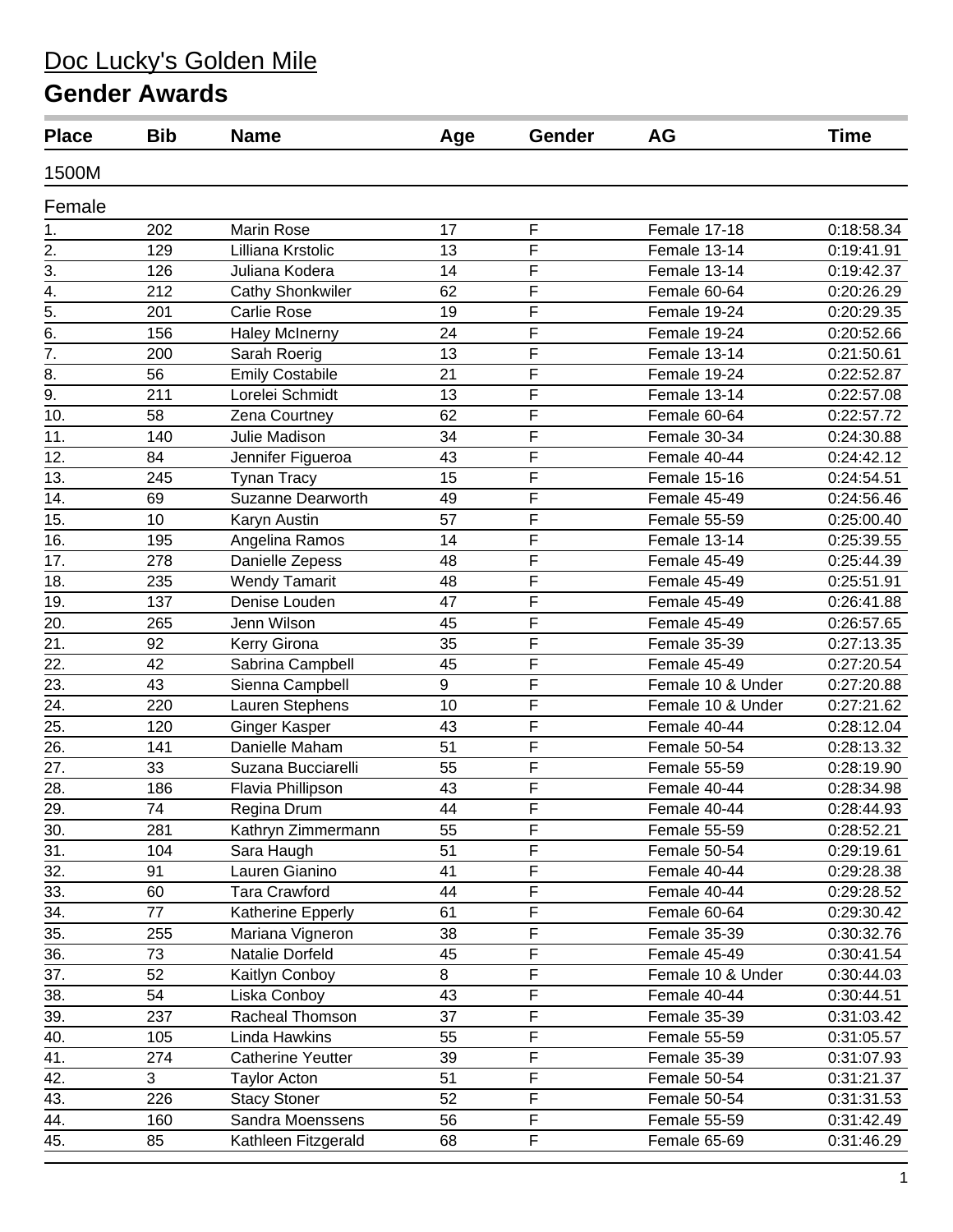| <b>Place</b>      | <b>Bib</b> | <b>Name</b>              | Age     | Gender         | AG                | <b>Time</b> |
|-------------------|------------|--------------------------|---------|----------------|-------------------|-------------|
| 1500M             |            |                          |         |                |                   |             |
| Female            |            |                          |         |                |                   |             |
| 1.                | 202        | Marin Rose               | 17      | F              | Female 17-18      | 0:18:58.34  |
| $\overline{2}$ .  | 129        | Lilliana Krstolic        | 13      | F              | Female 13-14      | 0:19:41.91  |
| $\overline{3}$ .  | 126        | Juliana Kodera           | 14      | F              | Female 13-14      | 0:19:42.37  |
| $\overline{4}$ .  | 212        | <b>Cathy Shonkwiler</b>  | 62      | F              | Female 60-64      | 0:20:26.29  |
| $\overline{5}$ .  | 201        | <b>Carlie Rose</b>       | 19      | F              | Female 19-24      | 0:20:29.35  |
| $\overline{6}$ .  | 156        | <b>Haley McInerny</b>    | 24      | F              | Female 19-24      | 0:20:52.66  |
| $\overline{7}$ .  | 200        | Sarah Roerig             | 13      | F              | Female 13-14      | 0:21:50.61  |
| 8.                | 56         | <b>Emily Costabile</b>   | 21      | F              | Female 19-24      | 0:22:52.87  |
| 9.                | 211        | Lorelei Schmidt          | 13      | F              | Female 13-14      | 0:22:57.08  |
| 10.               | 58         | Zena Courtney            | 62      | F              | Female 60-64      | 0:22:57.72  |
| 11.               | 140        | Julie Madison            | 34      | F              | Female 30-34      | 0:24:30.88  |
| 12.               | 84         | Jennifer Figueroa        | 43      | F              | Female 40-44      | 0:24:42.12  |
| 13.               | 245        | <b>Tynan Tracy</b>       | 15      | F              | Female 15-16      | 0:24:54.51  |
| 14.               | 69         | Suzanne Dearworth        | 49      | F              | Female 45-49      | 0:24:56.46  |
| 15.               | 10         | Karyn Austin             | 57      | F              | Female 55-59      | 0:25:00.40  |
| 16.               | 195        | Angelina Ramos           | 14      | F              | Female 13-14      | 0:25:39.55  |
| 17.               | 278        | Danielle Zepess          | 48      | F              | Female 45-49      | 0:25:44.39  |
| 18.               | 235        | <b>Wendy Tamarit</b>     | 48      | F              | Female $45-49$    | 0:25:51.91  |
| 19.               | 137        | Denise Louden            | 47      | F              | Female 45-49      | 0:26:41.88  |
| 20.               | 265        | Jenn Wilson              | 45      | F              | Female 45-49      | 0:26:57.65  |
| 21.               | 92         | Kerry Girona             | 35      | F              | Female 35-39      | 0:27:13.35  |
| 22.               | 42         | Sabrina Campbell         | 45      | F              | Female 45-49      | 0:27:20.54  |
| $\overline{23}$ . | 43         | Sienna Campbell          | 9       | F              | Female 10 & Under | 0:27:20.88  |
| 24.               | 220        | Lauren Stephens          | 10      | F              | Female 10 & Under | 0:27:21.62  |
| 25.               | 120        | <b>Ginger Kasper</b>     | 43      | F              | Female 40-44      | 0:28:12.04  |
| 26.               | 141        | Danielle Maham           | 51      | F              | Female 50-54      | 0:28:13.32  |
| 27.               | 33         | Suzana Bucciarelli       | 55      | F              | Female 55-59      | 0:28:19.90  |
| 28.               | 186        | Flavia Phillipson        | 43      | F              | Female 40-44      | 0:28:34.98  |
| 29.               | 74         | Regina Drum              | 44      | F              | Female 40-44      | 0:28:44.93  |
| 30.               | 281        | Kathryn Zimmermann       | 55      | F              | Female 55-59      | 0:28:52.21  |
| 31.               | 104        | Sara Haugh               | 51      | F              | Female 50-54      | 0:29:19.61  |
| 32.               | 91         | Lauren Gianino           | 41      | F              | Female 40-44      | 0:29:28.38  |
| 33.               | 60         | <b>Tara Crawford</b>     | 44      | F              | Female 40-44      | 0:29:28.52  |
| 34.               | 77         | Katherine Epperly        | 61      | F              | Female 60-64      | 0:29:30.42  |
| 35.               | 255        | Mariana Vigneron         | 38      | F              | Female 35-39      | 0:30:32.76  |
| 36.               | 73         | Natalie Dorfeld          | 45      | F              | Female 45-49      | 0:30:41.54  |
| $\overline{37}$ . | 52         | Kaitlyn Conboy           | $\,8\,$ | F              | Female 10 & Under | 0:30:44.03  |
| 38.               | 54         | Liska Conboy             | 43      | $\overline{F}$ | Female 40-44      | 0:30:44.51  |
| 39.               | 237        | Racheal Thomson          | 37      | F              | Female 35-39      | 0:31:03.42  |
| 40.               | 105        | Linda Hawkins            | 55      | F              | Female 55-59      | 0:31:05.57  |
| 41.               | 274        | <b>Catherine Yeutter</b> | 39      | F              | Female 35-39      | 0:31:07.93  |
| 42.               | 3          | <b>Taylor Acton</b>      | 51      | $\overline{F}$ | Female 50-54      | 0:31:21.37  |
| 43.               | 226        | <b>Stacy Stoner</b>      | 52      | F              | Female 50-54      | 0:31:31.53  |
| 44.               | 160        | Sandra Moenssens         | 56      | F              | Female 55-59      | 0:31:42.49  |
| 45.               | 85         | Kathleen Fitzgerald      | 68      | F              | Female 65-69      | 0:31:46.29  |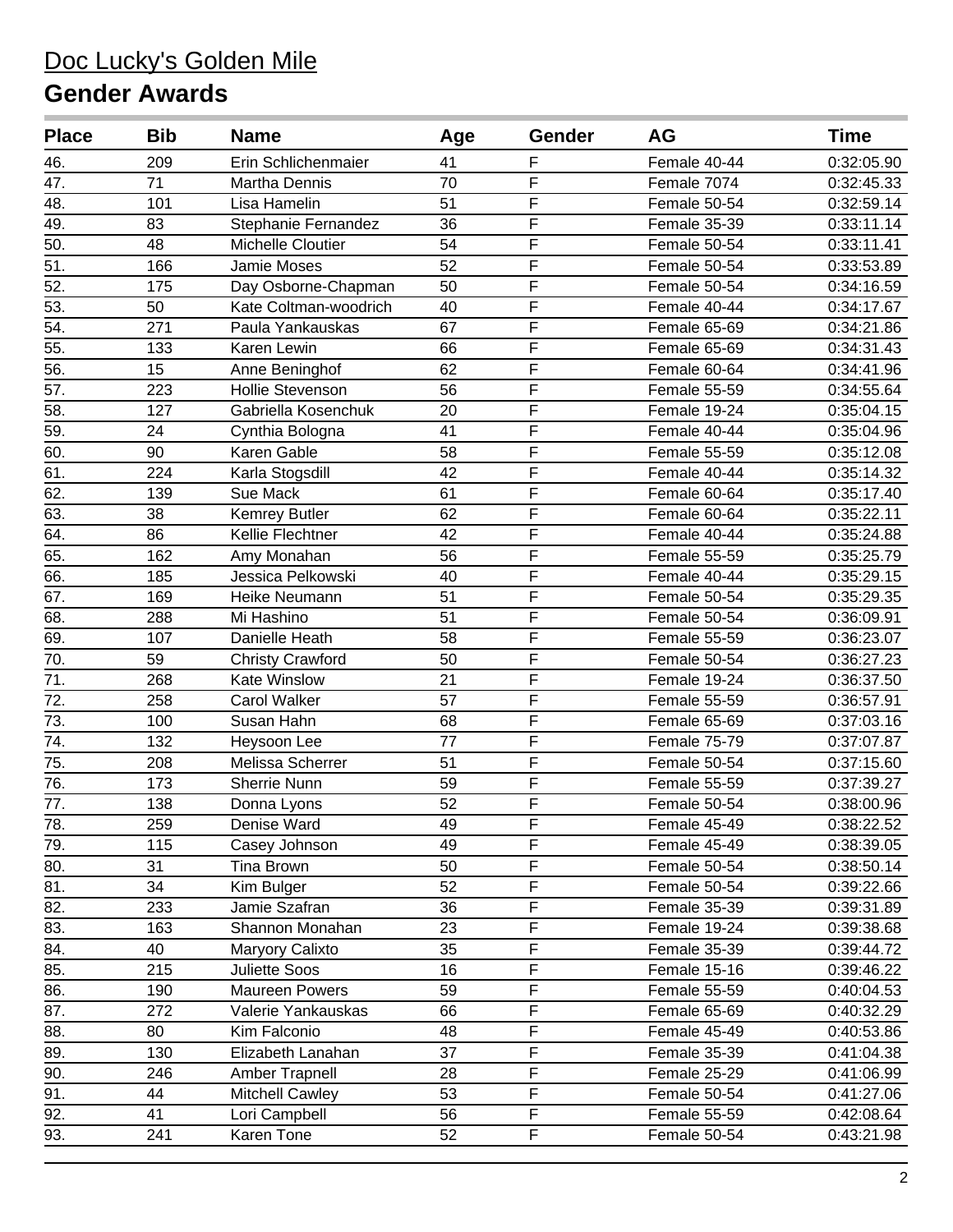| <b>Place</b>      | <b>Bib</b> | <b>Name</b>             | Age | Gender                  | <b>AG</b>    | <b>Time</b> |
|-------------------|------------|-------------------------|-----|-------------------------|--------------|-------------|
| 46.               | 209        | Erin Schlichenmaier     | 41  | F                       | Female 40-44 | 0:32:05.90  |
| 47.               | 71         | <b>Martha Dennis</b>    | 70  | $\overline{F}$          | Female 7074  | 0:32:45.33  |
| 48.               | 101        | Lisa Hamelin            | 51  | F                       | Female 50-54 | 0:32:59.14  |
| 49.               | 83         | Stephanie Fernandez     | 36  | F                       | Female 35-39 | 0:33:11.14  |
| 50.               | 48         | Michelle Cloutier       | 54  | F                       | Female 50-54 | 0:33:11.41  |
| $\overline{51}$   | 166        | Jamie Moses             | 52  | $\overline{F}$          | Female 50-54 | 0:33:53.89  |
| $\overline{52}$ . | 175        | Day Osborne-Chapman     | 50  | $\overline{F}$          | Female 50-54 | 0:34:16.59  |
| 53.               | 50         | Kate Coltman-woodrich   | 40  | F                       | Female 40-44 | 0:34:17.67  |
| 54.               | 271        | Paula Yankauskas        | 67  | F                       | Female 65-69 | 0:34:21.86  |
| 55.               | 133        | Karen Lewin             | 66  | F                       | Female 65-69 | 0:34:31.43  |
| $\overline{56}$ . | 15         | Anne Beninghof          | 62  | $\overline{F}$          | Female 60-64 | 0:34:41.96  |
| 57.               | 223        | <b>Hollie Stevenson</b> | 56  | $\overline{F}$          | Female 55-59 | 0:34:55.64  |
| 58.               | 127        | Gabriella Kosenchuk     | 20  | F                       | Female 19-24 | 0:35:04.15  |
| 59.               | 24         | Cynthia Bologna         | 41  | F                       | Female 40-44 | 0:35:04.96  |
| 60.               | 90         | Karen Gable             | 58  | $\overline{\mathsf{F}}$ | Female 55-59 | 0:35:12.08  |
| 61.               | 224        | Karla Stogsdill         | 42  | $\overline{F}$          | Female 40-44 | 0:35:14.32  |
| 62.               | 139        | Sue Mack                | 61  | F                       | Female 60-64 | 0:35:17.40  |
| 63.               | 38         | Kemrey Butler           | 62  | $\overline{\mathsf{F}}$ | Female 60-64 | 0:35:22.11  |
| 64.               | 86         | Kellie Flechtner        | 42  | F                       | Female 40-44 | 0:35:24.88  |
| 65.               | 162        | Amy Monahan             | 56  | $\overline{F}$          | Female 55-59 | 0:35:25.79  |
| 66.               | 185        | Jessica Pelkowski       | 40  | $\overline{F}$          | Female 40-44 | 0:35:29.15  |
| 67.               | 169        | Heike Neumann           | 51  | F                       | Female 50-54 | 0:35:29.35  |
| 68.               | 288        | Mi Hashino              | 51  | F                       | Female 50-54 | 0:36:09.91  |
| 69.               | 107        | Danielle Heath          | 58  | F                       | Female 55-59 | 0:36:23.07  |
| 70.               | 59         | <b>Christy Crawford</b> | 50  | $\overline{F}$          | Female 50-54 | 0:36:27.23  |
| 71.               | 268        | Kate Winslow            | 21  | F                       | Female 19-24 | 0:36:37.50  |
| 72.               | 258        | <b>Carol Walker</b>     | 57  | F                       | Female 55-59 | 0:36:57.91  |
| 73.               | 100        | Susan Hahn              | 68  | F                       | Female 65-69 | 0:37:03.16  |
| $\overline{74}$ . | 132        | Heysoon Lee             | 77  | F                       | Female 75-79 | 0:37:07.87  |
| 75.               | 208        | Melissa Scherrer        | 51  | $\overline{\mathsf{F}}$ | Female 50-54 | 0:37:15.60  |
| $\overline{76}$ . | 173        | Sherrie Nunn            | 59  | $\overline{\mathsf{F}}$ | Female 55-59 | 0:37:39.27  |
| $\overline{77}$ . | 138        | Donna Lyons             | 52  | F                       | Female 50-54 | 0:38:00.96  |
| $\overline{78}$ . | 259        | Denise Ward             | 49  | $\overline{F}$          | Female 45-49 | 0:38:22.52  |
| 79.               | 115        | Casey Johnson           | 49  | $\mathsf F$             | Female 45-49 | 0:38:39.05  |
| 80.               | 31         | Tina Brown              | 50  | F                       | Female 50-54 | 0:38:50.14  |
| 81.               | 34         | Kim Bulger              | 52  | F                       | Female 50-54 | 0:39:22.66  |
| 82.               | 233        | Jamie Szafran           | 36  | F                       | Female 35-39 | 0:39:31.89  |
| 83.               | 163        | Shannon Monahan         | 23  | F                       | Female 19-24 | 0:39:38.68  |
| 84.               | 40         | Maryory Calixto         | 35  | $\mathsf F$             | Female 35-39 | 0:39:44.72  |
| 85.               | 215        | <b>Juliette Soos</b>    | 16  | F                       | Female 15-16 | 0:39:46.22  |
| 86.               | 190        | Maureen Powers          | 59  | F                       | Female 55-59 | 0:40:04.53  |
| 87.               | 272        | Valerie Yankauskas      | 66  | F                       | Female 65-69 | 0:40:32.29  |
| 88.               | 80         | Kim Falconio            | 48  | F                       | Female 45-49 | 0:40:53.86  |
| 89.               | 130        | Elizabeth Lanahan       | 37  | F                       | Female 35-39 | 0:41:04.38  |
| 90.               | 246        | Amber Trapnell          | 28  | F                       | Female 25-29 | 0:41:06.99  |
| 91.               | 44         | <b>Mitchell Cawley</b>  | 53  | F                       | Female 50-54 | 0:41:27.06  |
| $\overline{92.}$  | 41         | Lori Campbell           | 56  | F                       | Female 55-59 | 0:42:08.64  |
| 93.               | 241        | Karen Tone              | 52  | $\mathsf F$             | Female 50-54 | 0:43:21.98  |
|                   |            |                         |     |                         |              |             |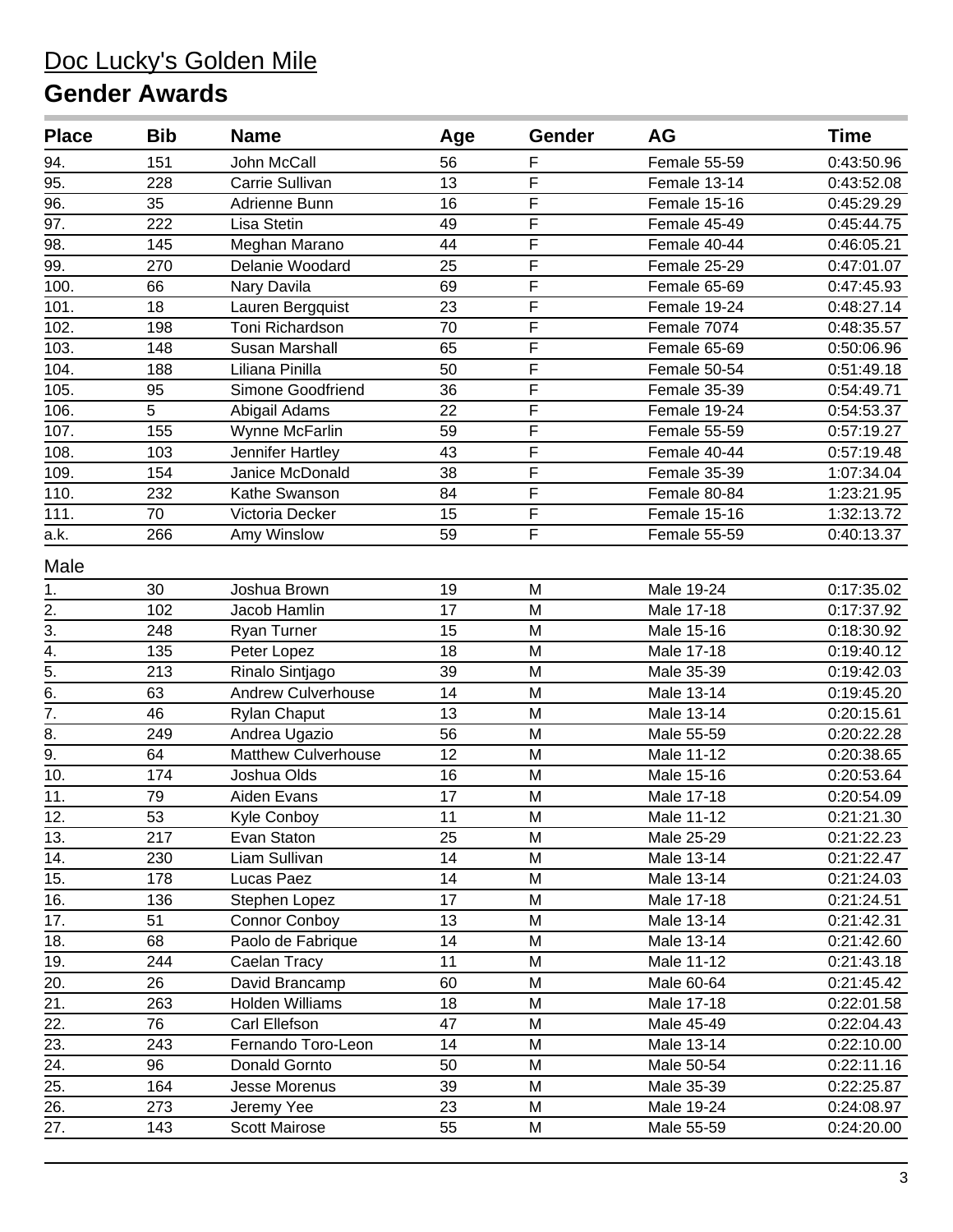| <b>Place</b>       | <b>Bib</b> | <b>Name</b>                | Age | Gender                  | AG           | Time       |
|--------------------|------------|----------------------------|-----|-------------------------|--------------|------------|
| 94.                | 151        | John McCall                | 56  | F                       | Female 55-59 | 0:43:50.96 |
| $\overline{95}$ .  | 228        | Carrie Sullivan            | 13  | F                       | Female 13-14 | 0:43:52.08 |
| 96.                | 35         | Adrienne Bunn              | 16  | F                       | Female 15-16 | 0:45:29.29 |
| 97.                | 222        | Lisa Stetin                | 49  | F                       | Female 45-49 | 0:45:44.75 |
| 98.                | 145        | Meghan Marano              | 44  | F                       | Female 40-44 | 0:46:05.21 |
| 99.                | 270        | Delanie Woodard            | 25  | F                       | Female 25-29 | 0:47:01.07 |
| 100.               | 66         | Nary Davila                | 69  | $\overline{F}$          | Female 65-69 | 0:47:45.93 |
| 101.               | 18         | Lauren Bergquist           | 23  | F                       | Female 19-24 | 0:48:27.14 |
| $10\overline{2}$ . | 198        | Toni Richardson            | 70  | F                       | Female 7074  | 0:48:35.57 |
| 103.               | 148        | <b>Susan Marshall</b>      | 65  | F                       | Female 65-69 | 0:50:06.96 |
| 104.               | 188        | Liliana Pinilla            | 50  | F                       | Female 50-54 | 0:51:49.18 |
| 105.               | 95         | Simone Goodfriend          | 36  | F                       | Female 35-39 | 0:54:49.71 |
| 106.               | 5          | Abigail Adams              | 22  | F                       | Female 19-24 | 0:54:53.37 |
| 107.               | 155        | Wynne McFarlin             | 59  | F                       | Female 55-59 | 0:57:19.27 |
| 108.               | 103        | Jennifer Hartley           | 43  | F                       | Female 40-44 | 0:57:19.48 |
| 109.               | 154        | Janice McDonald            | 38  | F                       | Female 35-39 | 1:07:34.04 |
| 110.               | 232        | Kathe Swanson              | 84  | $\overline{\mathsf{F}}$ | Female 80-84 | 1:23:21.95 |
| 111.               | 70         | Victoria Decker            | 15  | F                       | Female 15-16 | 1:32:13.72 |
| a.k.               | 266        | Amy Winslow                | 59  | F                       | Female 55-59 | 0:40:13.37 |
| Male               |            |                            |     |                         |              |            |
| 1.                 | 30         | Joshua Brown               | 19  | M                       | Male 19-24   | 0:17:35.02 |
| $\overline{2}$ .   | 102        | Jacob Hamlin               | 17  | M                       | Male 17-18   | 0:17:37.92 |
| $\overline{3}$ .   | 248        | Ryan Turner                | 15  | M                       | Male 15-16   | 0:18:30.92 |
| $\overline{4}$ .   | 135        | Peter Lopez                | 18  | M                       | Male 17-18   | 0:19:40.12 |
| $\overline{5}$ .   | 213        | Rinalo Sintjago            | 39  | M                       | Male 35-39   | 0:19:42.03 |
| 6.                 | 63         | <b>Andrew Culverhouse</b>  | 14  | M                       | Male 13-14   | 0:19:45.20 |
| $\overline{7}$ .   | 46         | <b>Rylan Chaput</b>        | 13  | M                       | Male 13-14   | 0:20:15.61 |
| 8.                 | 249        | Andrea Ugazio              | 56  | M                       | Male 55-59   | 0:20:22.28 |
| $\overline{9}$ .   | 64         | <b>Matthew Culverhouse</b> | 12  | M                       | Male 11-12   | 0:20:38.65 |
| 10.                | 174        | Joshua Olds                | 16  | M                       | Male 15-16   | 0:20:53.64 |
| 11.                | 79         | Aiden Evans                | 17  | M                       | Male 17-18   | 0:20:54.09 |
| 12.                | 53         | Kyle Conboy                | 11  | M                       | Male 11-12   | 0:21:21.30 |
| 13.                | 217        | Evan Staton                | 25  | M                       | Male 25-29   | 0:21:22.23 |
| 14.                | 230        | Liam Sullivan              | 14  | M                       | Male 13-14   | 0:21:22.47 |
| 15.                | 178        | Lucas Paez                 | 14  | M                       | Male 13-14   | 0:21:24.03 |
| 16.                | 136        | Stephen Lopez              | 17  | M                       | Male 17-18   | 0:21:24.51 |
| 17.                | 51         | Connor Conboy              | 13  | M                       | Male 13-14   | 0:21:42.31 |
| 18.                | 68         | Paolo de Fabrique          | 14  | M                       | Male 13-14   | 0:21:42.60 |
| 19.                | 244        | Caelan Tracy               | 11  | M                       | Male 11-12   | 0:21:43.18 |
| 20.                | 26         | David Brancamp             | 60  | M                       | Male 60-64   | 0:21:45.42 |
| 21.                | 263        | Holden Williams            | 18  | M                       | Male 17-18   | 0:22:01.58 |
| 22.                | 76         | Carl Ellefson              | 47  | M                       | Male 45-49   | 0:22:04.43 |
| 23.                | 243        | Fernando Toro-Leon         | 14  | M                       | Male 13-14   | 0:22:10.00 |
| 24.                | 96         | Donald Gornto              | 50  | M                       | Male 50-54   | 0:22:11.16 |
| 25.                | 164        | Jesse Morenus              | 39  | M                       | Male 35-39   | 0:22:25.87 |
| $\overline{26}$ .  | 273        | Jeremy Yee                 | 23  | M                       | Male 19-24   | 0:24:08.97 |
| 27.                | 143        | <b>Scott Mairose</b>       | 55  | Μ                       | Male 55-59   | 0:24:20.00 |
|                    |            |                            |     |                         |              |            |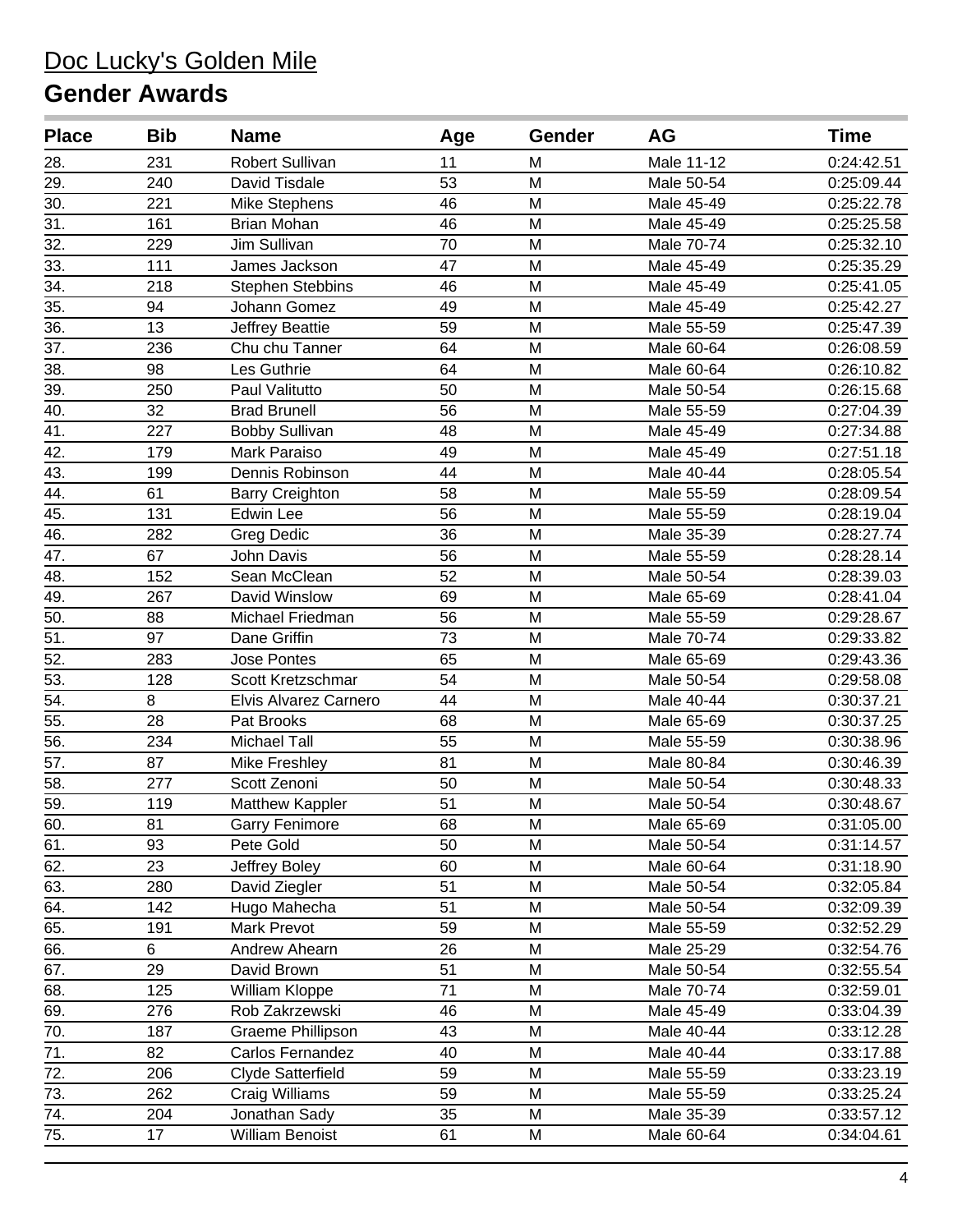| <b>Place</b>      | <b>Bib</b> | <b>Name</b>             | Age             | Gender | AG         | Time       |
|-------------------|------------|-------------------------|-----------------|--------|------------|------------|
| 28.               | 231        | Robert Sullivan         | 11              | M      | Male 11-12 | 0:24:42.51 |
| 29.               | 240        | David Tisdale           | 53              | M      | Male 50-54 | 0:25:09.44 |
| 30.               | 221        | <b>Mike Stephens</b>    | 46              | M      | Male 45-49 | 0:25:22.78 |
| $\overline{31}$ . | 161        | <b>Brian Mohan</b>      | 46              | M      | Male 45-49 | 0:25:25.58 |
| 32.               | 229        | Jim Sullivan            | 70              | M      | Male 70-74 | 0:25:32.10 |
| 33.               | 111        | James Jackson           | 47              | M      | Male 45-49 | 0:25:35.29 |
| $\overline{34}$ . | 218        | <b>Stephen Stebbins</b> | 46              | M      | Male 45-49 | 0:25:41.05 |
| 35.               | 94         | Johann Gomez            | 49              | M      | Male 45-49 | 0:25:42.27 |
| 36.               | 13         | Jeffrey Beattie         | 59              | M      | Male 55-59 | 0:25:47.39 |
| 37.               | 236        | Chu chu Tanner          | 64              | M      | Male 60-64 | 0:26:08.59 |
| $\overline{38}$ . | 98         | Les Guthrie             | 64              | M      | Male 60-64 | 0:26:10.82 |
| 39.               | 250        | Paul Valitutto          | 50              | M      | Male 50-54 | 0:26:15.68 |
| 40.               | 32         | <b>Brad Brunell</b>     | 56              | M      | Male 55-59 | 0:27:04.39 |
| 41.               | 227        | <b>Bobby Sullivan</b>   | 48              | M      | Male 45-49 | 0:27:34.88 |
| 42.               | 179        | Mark Paraiso            | 49              | M      | Male 45-49 | 0:27:51.18 |
| 43.               | 199        | Dennis Robinson         | 44              | M      | Male 40-44 | 0:28:05.54 |
| 44.               | 61         | <b>Barry Creighton</b>  | 58              | M      | Male 55-59 | 0:28:09.54 |
| 45.               | 131        | <b>Edwin Lee</b>        | 56              | M      | Male 55-59 | 0:28:19.04 |
| 46.               | 282        | Greg Dedic              | 36              | M      | Male 35-39 | 0:28:27.74 |
| 47.               | 67         | John Davis              | 56              | M      | Male 55-59 | 0:28:28.14 |
| 48.               | 152        | Sean McClean            | 52              | M      | Male 50-54 | 0:28:39.03 |
| 49.               | 267        | David Winslow           | 69              | M      | Male 65-69 | 0:28:41.04 |
| 50.               | 88         | Michael Friedman        | 56              | M      | Male 55-59 | 0:29:28.67 |
| 51.               | 97         | Dane Griffin            | 73              | M      | Male 70-74 | 0:29:33.82 |
| 52.               | 283        | <b>Jose Pontes</b>      | 65              | M      | Male 65-69 | 0:29:43.36 |
| 53.               | 128        | Scott Kretzschmar       | 54              | M      | Male 50-54 | 0:29:58.08 |
| 54.               | 8          | Elvis Alvarez Carnero   | 44              | M      | Male 40-44 | 0:30:37.21 |
| $\overline{55}$ . | 28         | Pat Brooks              | 68              | M      | Male 65-69 | 0:30:37.25 |
| 56.               | 234        | <b>Michael Tall</b>     | 55              | M      | Male 55-59 | 0:30:38.96 |
| 57.               | 87         | Mike Freshley           | 81              | M      | Male 80-84 | 0:30:46.39 |
| 58.               | 277        | Scott Zenoni            | 50              | M      | Male 50-54 | 0:30:48.33 |
| 59.               | 119        | Matthew Kappler         | 51              | M      | Male 50-54 | 0:30:48.67 |
| 60.               | 81         | <b>Garry Fenimore</b>   | $\overline{68}$ | M      | Male 65-69 | 0:31:05.00 |
| 61.               | 93         | Pete Gold               | 50              | M      | Male 50-54 | 0:31:14.57 |
| 62.               | 23         | Jeffrey Boley           | 60              | M      | Male 60-64 | 0:31:18.90 |
| 63.               | 280        | David Ziegler           | 51              | M      | Male 50-54 | 0:32:05.84 |
| 64.               | 142        | Hugo Mahecha            | 51              | M      | Male 50-54 | 0:32:09.39 |
| 65.               | 191        | Mark Prevot             | 59              | M      | Male 55-59 | 0:32:52.29 |
| 66.               | 6          | Andrew Ahearn           | 26              | M      | Male 25-29 | 0:32:54.76 |
| 67.               | 29         | David Brown             | 51              | M      | Male 50-54 | 0:32:55.54 |
| 68.               | 125        | William Kloppe          | 71              | M      | Male 70-74 | 0:32:59.01 |
| 69.               | 276        | Rob Zakrzewski          | 46              | M      | Male 45-49 | 0:33:04.39 |
| $\overline{70}$ . | 187        | Graeme Phillipson       | 43              | M      | Male 40-44 | 0:33:12.28 |
| 71.               | 82         | Carlos Fernandez        | 40              | M      | Male 40-44 | 0:33:17.88 |
| 72.               | 206        | Clyde Satterfield       | 59              | M      | Male 55-59 | 0:33:23.19 |
| 73.               | 262        | Craig Williams          | 59              | M      | Male 55-59 | 0:33:25.24 |
| 74.               | 204        | Jonathan Sady           | 35              | M      | Male 35-39 | 0:33:57.12 |
| 75.               | 17         | <b>William Benoist</b>  | 61              | M      | Male 60-64 | 0:34:04.61 |